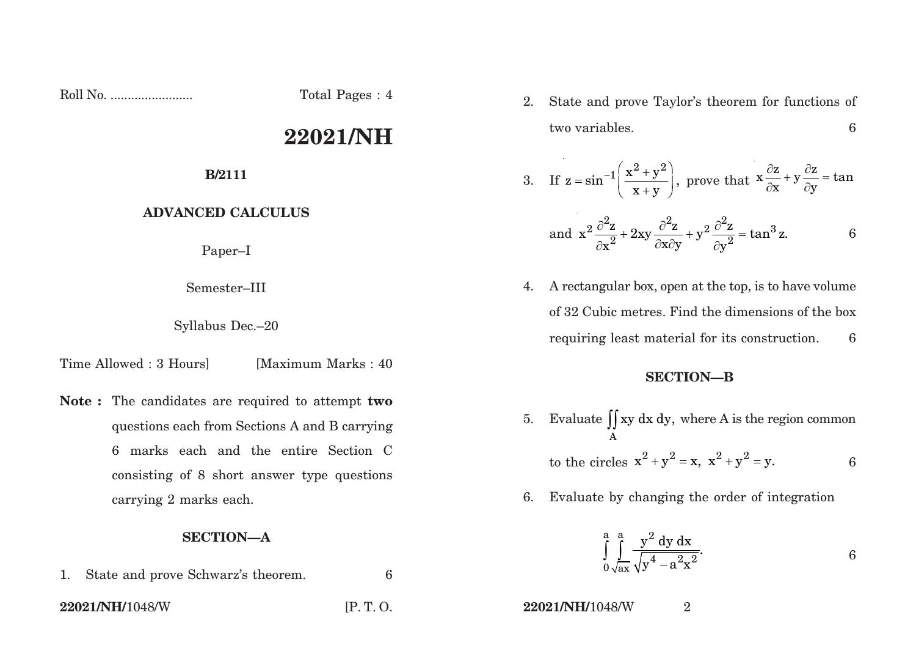Roll No. ........................ Total Pages : 4

# **22021/NH**

### **B/2111**

## **ADVANCED CALCULUS**

Paper–I

Semester–III

Syllabus Dec.–20

Time Allowed : 3 Hours [Maximum Marks : 40]

**Note :** The candidates are required to attempt **two** questions each from Sections A and B carrying 6 marks each and the entire Section C consisting of 8 short answer type questions carrying 2 marks each.

## **SECTION—A**

- 1. State and prove Schwarz's theorem. 6
- 

2. State and prove Taylor's theorem for functions of two variables. 6

3. If 
$$
z = \sin^{-1}\left(\frac{x^2 + y^2}{x + y}\right)
$$
, prove that  $x\frac{\partial z}{\partial x} + y\frac{\partial z}{\partial y} = \tan^{-1}\left(\frac{z^2 + y^2}{x + y}\right)$ .

and 
$$
x^2 \frac{\partial^2 z}{\partial x^2} + 2xy \frac{\partial^2 z}{\partial x \partial y} + y^2 \frac{\partial^2 z}{\partial y^2} = \tan^3 z.
$$
 6

4. A rectangular box, open at the top, is to have volume of 32 Cubic metres. Find the dimensions of the box requiring least material for its construction. 6

### **SECTION—B**

- 5. Evaluate  $\iint xy dx dy$ , where A is the region common A to the circles  $x^2 + y^2 = x$ ,  $x^2 + y^2 = y$ . 6
- 6. Evaluate by changing the order of integration

$$
\int_{0}^{a} \int_{\sqrt{ax}}^{a} \frac{y^2 dy dx}{\sqrt{y^4 - a^2 x^2}}.
$$

**22021/NH/**1048/W [P. T. O. **22021/NH/**1048/W <sup>2</sup>